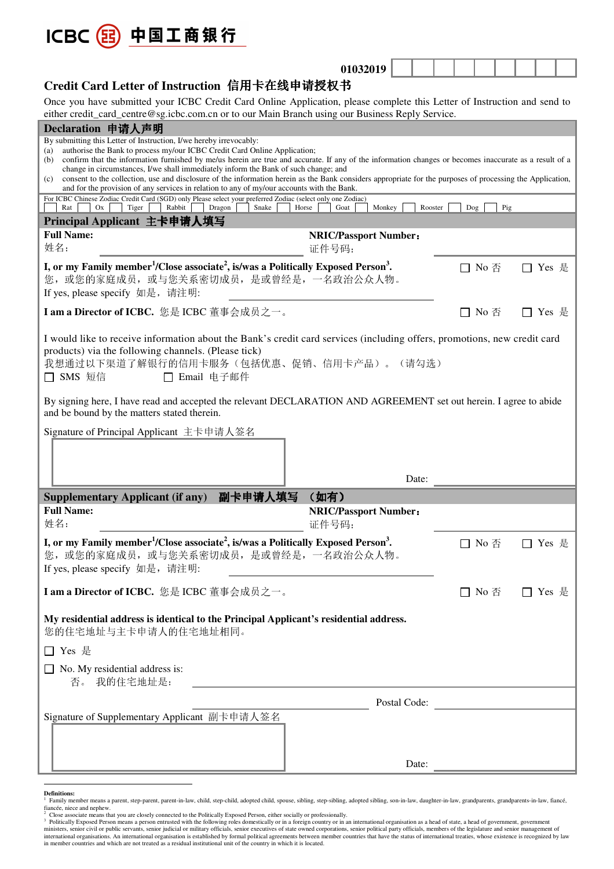

|                                              | 01032019 |  |  |  |  |
|----------------------------------------------|----------|--|--|--|--|
| Credit Card Letter of Instruction 信用卡在线申请授权书 |          |  |  |  |  |

Once you have submitted your ICBC Credit Card Online Application, please complete this Letter of Instruction and send to either credit\_card\_centre@sg.icbc.com.cn or to our Main Branch using our Business Reply Service.

| Declaration 申请人声明                                                                                                                                                                                                                                                                                                                                     |                                       |                                  |         |
|-------------------------------------------------------------------------------------------------------------------------------------------------------------------------------------------------------------------------------------------------------------------------------------------------------------------------------------------------------|---------------------------------------|----------------------------------|---------|
| By submitting this Letter of Instruction, I/we hereby irrevocably:<br>authorise the Bank to process my/our ICBC Credit Card Online Application;<br>(a)<br>confirm that the information furnished by me/us herein are true and accurate. If any of the information changes or becomes inaccurate as a result of a<br>(b)                               |                                       |                                  |         |
| change in circumstances, I/we shall immediately inform the Bank of such change; and<br>consent to the collection, use and disclosure of the information herein as the Bank considers appropriate for the purposes of processing the Application,<br>(c)<br>and for the provision of any services in relation to any of my/our accounts with the Bank. |                                       |                                  |         |
| For ICBC Chinese Zodiac Credit Card (SGD) only Please select your preferred Zodiac (select only one Zodiac)<br>Rat<br>Rabbit<br>Ox<br>Tiger<br>Dragon<br>Snake                                                                                                                                                                                        | Monkey<br>Horse<br>Goat<br>Rooster    | Pig<br>Dog                       |         |
| Principal Applicant 主卡申请人填写                                                                                                                                                                                                                                                                                                                           |                                       |                                  |         |
| <b>Full Name:</b><br>姓名:                                                                                                                                                                                                                                                                                                                              | <b>NRIC/Passport Number:</b><br>证件号码: |                                  |         |
| I, or my Family member <sup>1</sup> /Close associate <sup>2</sup> , is/was a Politically Exposed Person <sup>3</sup> .<br>您, 或您的家庭成员, 或与您关系密切成员, 是或曾经是, 一名政治公众人物。<br>If yes, please specify 如是, 请注明:                                                                                                                                                  |                                       | □ No 否                           | Yes 是   |
| I am a Director of ICBC. 您是 ICBC 董事会成员之一。                                                                                                                                                                                                                                                                                                             |                                       | $\square$ No 否                   | □ Yes 是 |
| I would like to receive information about the Bank's credit card services (including offers, promotions, new credit card<br>products) via the following channels. (Please tick)<br>我想通过以下渠道了解银行的信用卡服务(包括优惠、促销、信用卡产品)。(请勾选)<br>SMS 短信<br>Email 电子邮件                                                                                                    |                                       |                                  |         |
| By signing here, I have read and accepted the relevant DECLARATION AND AGREEMENT set out herein. I agree to abide<br>and be bound by the matters stated therein.                                                                                                                                                                                      |                                       |                                  |         |
| Signature of Principal Applicant 主卡申请人签名                                                                                                                                                                                                                                                                                                              |                                       |                                  |         |
|                                                                                                                                                                                                                                                                                                                                                       |                                       |                                  |         |
|                                                                                                                                                                                                                                                                                                                                                       |                                       |                                  |         |
|                                                                                                                                                                                                                                                                                                                                                       | Date:                                 |                                  |         |
| 副卡申请人填写<br><b>Supplementary Applicant (if any)</b>                                                                                                                                                                                                                                                                                                    | (如有)                                  |                                  |         |
| <b>Full Name:</b><br>姓名:                                                                                                                                                                                                                                                                                                                              | <b>NRIC/Passport Number:</b><br>证件号码: |                                  |         |
| I, or my Family member <sup>1</sup> /Close associate <sup>2</sup> , is/was a Politically Exposed Person <sup>3</sup> .<br>您, 或您的家庭成员, 或与您关系密切成员, 是或曾经是, 一名政治公众人物。<br>If yes, please specify 如是, 请注明:                                                                                                                                                  |                                       | $\Box$ No 否                      | Yes 是   |
| I am a Director of ICBC. 您是 ICBC 董事会成员之一。                                                                                                                                                                                                                                                                                                             |                                       | $\square$ No $\overline{\oplus}$ | □ Yes 是 |
| My residential address is identical to the Principal Applicant's residential address.<br>您的住宅地址与主卡申请人的住宅地址相同。                                                                                                                                                                                                                                         |                                       |                                  |         |
| □ Yes 是                                                                                                                                                                                                                                                                                                                                               |                                       |                                  |         |
| $\Box$ No. My residential address is:<br>否。我的住宅地址是:                                                                                                                                                                                                                                                                                                   |                                       |                                  |         |
|                                                                                                                                                                                                                                                                                                                                                       | Postal Code:                          |                                  |         |
| Signature of Supplementary Applicant 副卡申请人签名                                                                                                                                                                                                                                                                                                          |                                       |                                  |         |
|                                                                                                                                                                                                                                                                                                                                                       |                                       |                                  |         |

**Definitions:**<br><sup>1</sup> Femily mea

Family member means a parent, step-parent, parent-in-law, child, step-child, adopted child, spouse, sibling, step-sibling, adopted sibling, son-in-law, daughter-in-law, grandparents, grandparents-in-law, fiancé, fiancée, niece and nephew.

<sup>&</sup>lt;sup>2</sup> Close associate means that you are closely connected to the Politically Exposed Person, either socially or professionally.<br><sup>3</sup> Politically Exposed Person means a person entrusted with the following roles domestically o international organisations. An international organisation is established by formal political agreements between member countries that have the status of international treaties, whose existence is recognized by law<br>in memb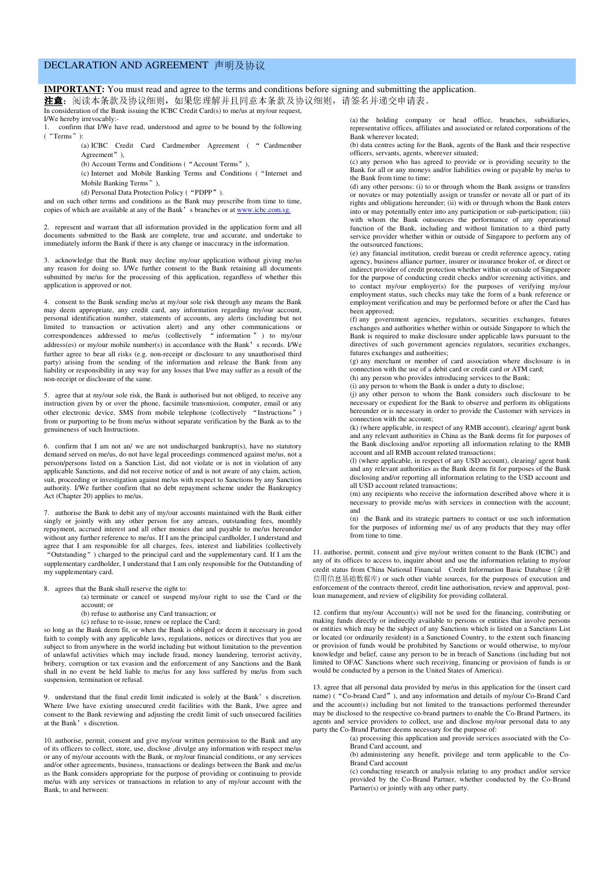## DECLARATION AND AGREEMENT 声明及协议

**IMPORTANT:** You must read and agree to the terms and conditions before signing and submitting the application.

注意: 阅读本条款及协议细则, 如果您理解并且同意本条款及协议细则, 请签名并递交申请表。

In consideration of the Bank issuing the ICBC Credit Card(s) to me/us at my/our request, I/We hereby irrevocably:-

1. confirm that I/We have read, understood and agree to be bound by the following ("Terms"):

(a) ICBC Credit Card Cardmember Agreement ( " Cardmember Agreement")

(b) Account Terms and Conditions ("Account Terms"),

(c) Internet and Mobile Banking Terms and Conditions ("Internet and Mobile Banking Terms"),

(d) Personal Data Protection Policy ("PDPP").

and on such other terms and conditions as the Bank may prescribe from time to time, copies of which are available at any of the Bank's branches or at www.icbc

2. represent and warrant that all information provided in the application form and all documents submitted to the Bank are complete, true and accurate, and undertake to immediately inform the Bank if there is any change or inaccuracy in the information.

3. acknowledge that the Bank may decline my/our application without giving me/us any reason for doing so. I/We further consent to the Bank retaining all documents submitted by me/us for the processing of this application, regardless of whether this application is approved or not.

4. consent to the Bank sending me/us at my/our sole risk through any means the Bank may deem appropriate, any credit card, any information regarding my/our account, personal identification number, statements of accounts, any alerts (including but not limited to transaction or activation alert) and any other communications or correspondences addressed to me/us (collectively " information " ) to my/our  $address(es)$  or my/our mobile number(s) in accordance with the Bank's records. I/We further agree to bear all risks (e.g. non-receipt or disclosure to any unauthorised third party) arising from the sending of the information and release the Bank from any liability or responsibility in any way for any losses that I/we may suffer as a result of the non-receipt or disclosure of the same.

5. agree that at my/our sole risk, the Bank is authorised but not obliged, to receive any instruction given by or over the phone, facsimile transmission, computer, email or any other electronic device, SMS from mobile telephone (collectively "Instructions") from or purporting to be from me/us without separate verification by the Bank as to the genuineness of such Instructions.

6. confirm that I am not an/ we are not undischarged bankrupt(s), have no statutory demand served on me/us, do not have legal proceedings commenced against me/us, not a person/persons listed on a Sanction List, did not violate or is not in violation of any applicable Sanctions, and did not receive notice of and is not aware of any claim, action, suit, proceeding or investigation against me/us with respect to Sanctions by any Sanction authority. I/We further confirm that no debt repayment scheme under the Bankruptcy Act (Chapter 20) applies to me/us.

7. authorise the Bank to debit any of my/our accounts maintained with the Bank either singly or jointly with any other person for any arrears, outstanding fees, monthly repayment, accrued interest and all other monies due and payable to me/us hereunder without any further reference to me/us. If I am the principal cardholder, I understand and agree that I am responsible for all charges, fees, interest and liabilities (collectively "Outstanding") charged to the principal card and the supplementary card. If I am the supplementary cardholder, I understand that I am only responsible for the Outstanding of my supplementary card.

- 8. agrees that the Bank shall reserve the right to:
	- (a) terminate or cancel or suspend my/our right to use the Card or the account; or
	- (b) refuse to authorise any Card transaction; or
	- (c) refuse to re-issue, renew or replace the Card;

so long as the Bank deem fit, or when the Bank is obliged or deem it necessary in good faith to comply with any applicable laws, regulations, notices or directives that you are subject to from anywhere in the world including but without limitation to the prevention of unlawful activities which may include fraud, money laundering, terrorist activity, bribery, corruption or tax evasion and the enforcement of any Sanctions and the Bank shall in no event be held liable to me/us for any loss suffered by me/us from such suspension, termination or refusal.

9. understand that the final credit limit indicated is solely at the Bank's discretion. Where I/we have existing unsecured credit facilities with the Bank, I/we agree and consent to the Bank reviewing and adjusting the credit limit of such unsecured facilities at the Bank's discretion.

10. authorise, permit, consent and give my/our written permission to the Bank and any of its officers to collect, store, use, disclose ,divulge any information with respect me/us or any of my/our accounts with the Bank, or my/our financial conditions, or any services and/or other agreements, business, transactions or dealings between the Bank and me/us as the Bank considers appropriate for the purpose of providing or continuing to provide me/us with any services or transactions in relation to any of my/our account with the Bank, to and between:

(a) the holding company or head office, branches, subsidiaries, representative offices, affiliates and associated or related corporations of the Bank wherever located;

(b) data centres acting for the Bank, agents of the Bank and their respective officers, servants, agents, wherever situated;

(c) any person who has agreed to provide or is providing security to the Bank for all or any moneys and/or liabilities owing or payable by me/us to the Bank from time to time;

(d) any other persons: (i) to or through whom the Bank assigns or transfers or novates or may potentially assign or transfer or novate all or part of its rights and obligations hereunder; (ii) with or through whom the Bank enters into or may potentially enter into any participation or sub-participation; (iii) with whom the Bank outsources the performance of any operational function of the Bank, including and without limitation to a third party service provider whether within or outside of Singapore to perform any of the outsourced functions;

(e) any financial institution, credit bureau or credit reference agency, rating agency, business alliance partner, insurer or insurance broker of, or direct or indirect provider of credit protection whether within or outside of Singapore for the purpose of conducting credit checks and/or screening activities, and to contact my/our employer(s) for the purposes of verifying my/our employment status, such checks may take the form of a bank reference or employment verification and may be performed before or after the Card has been approved;

(f) any government agencies, regulators, securities exchanges, futures exchanges and authorities whether within or outside Singapore to which the Bank is required to make disclosure under applicable laws pursuant to the directives of such government agencies regulators, securities exchanges, futures exchanges and authorities;

(g) any merchant or member of card association where disclosure is in connection with the use of a debit card or credit card or ATM card; (h) any person who provides introducing services to the Bank;

(i) any person to whom the Bank is under a duty to disclose;

(j) any other person to whom the Bank considers such disclosure to be necessary or expedient for the Bank to observe and perform its obligations hereunder or is necessary in order to provide the Customer with services in connection with the account;

(k) (where applicable, in respect of any RMB account), clearing/ agent bank and any relevant authorities in China as the Bank deems fit for purposes of the Bank disclosing and/or reporting all information relating to the RMB account and all RMB account related transactions;

(l) (where applicable, in respect of any USD account), clearing/ agent bank and any relevant authorities as the Bank deems fit for purposes of the Bank disclosing and/or reporting all information relating to the USD account and all USD account related transactions;

(m) any recipients who receive the information described above where it is necessary to provide me/us with services in connection with the account; and

(n) the Bank and its strategic partners to contact or use such information for the purposes of informing me/ us of any products that they may offer from time to time.

11. authorise, permit, consent and give my/our written consent to the Bank (ICBC) and any of its offices to access to, inquire about and use the information relating to my/our credit status from China National Financial Credit Information Basic Database (金融 信用信息基础数据库) or such other viable sources, for the purposes of execution and enforcement of the contracts thereof, credit line authorisation, review and approval, postloan management, and review of eligibility for providing collateral.

12. confirm that my/our Account(s) will not be used for the financing, contributing or making funds directly or indirectly available to persons or entities that involve persons or entities which may be the subject of any Sanctions which is listed on a Sanctions List or located (or ordinarily resident) in a Sanctioned Country, to the extent such financing or provision of funds would be prohibited by Sanctions or would otherwise, to my/our knowledge and belief, cause any person to be in breach of Sanctions (including but not limited to OFAC Sanctions where such receiving, financing or provision of funds is or would be conducted by a person in the United States of America).

13. agree that all personal data provided by me/us in this application for the (insert card name) ("Co-brand Card"), and any information and details of my/our Co-Brand Card and the account(s) including but not limited to the transactions performed thereunder may be disclosed to the respective co-brand partners to enable the Co-Brand Partners, its agents and service providers to collect, use and disclose my/our personal data to any party the Co-Brand Partner deems necessary for the purpose of:

(a) processing this application and provide services associated with the Co-Brand Card account, and

- (b) administering any benefit, privilege and term applicable to the Co-Brand Card account
- (c) conducting research or analysis relating to any product and/or service provided by the Co-Brand Partner, whether conducted by the Co-Brand Partner(s) or jointly with any other party.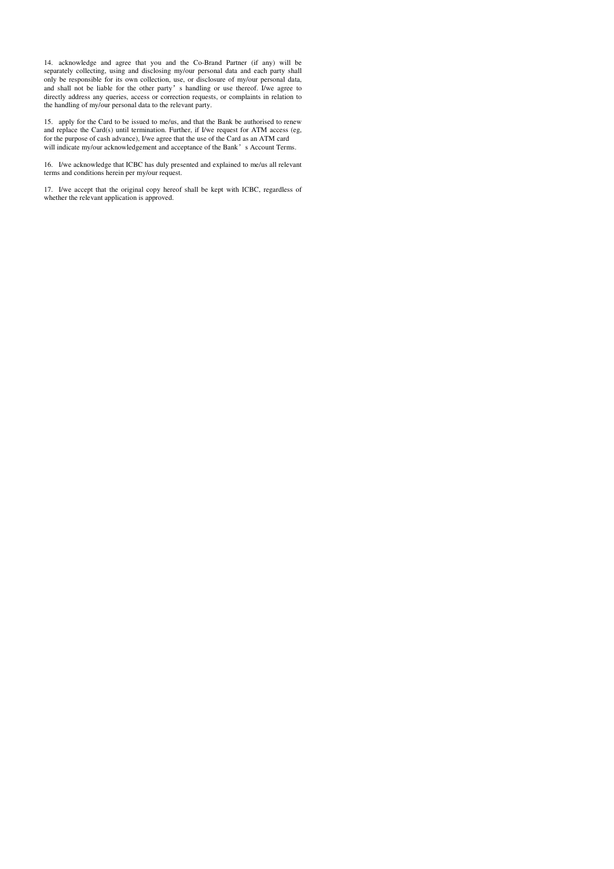14. acknowledge and agree that you and the Co-Brand Partner (if any) will be separately collecting, using and disclosing my/our personal data and each party shall only be responsible for its own collection, use, or disclosure of my/our personal data, and shall not be liable for the other party's handling or use thereof. I/we agree to directly address any queries, access or correction requests, or complaints in relation to the handling of my/our personal data to the relevant party.

15. apply for the Card to be issued to me/us, and that the Bank be authorised to renew and replace the Card(s) until termination. Further, if I/we request for ATM access (eg, for the purpose of cash advance), I/we agree that the use of the Card as an ATM card will indicate my/our acknowledgement and acceptance of the Bank's Account Terms.

16. I/we acknowledge that ICBC has duly presented and explained to me/us all relevant terms and conditions herein per my/our request.

17. I/we accept that the original copy hereof shall be kept with ICBC, regardless of whether the relevant application is approved.